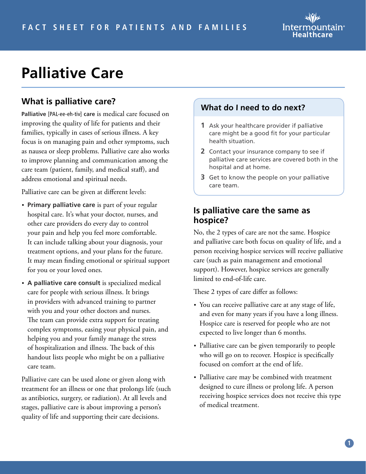# Intermountain<sup>®</sup> Healthcare

# **Palliative Care**

## **What is palliative care?**

**Palliative** [PAL-ee-eh-tiv] **care** is medical care focused on improving the quality of life for patients and their families, typically in cases of serious illness. A key focus is on managing pain and other symptoms, such as nausea or sleep problems. Palliative care also works to improve planning and communication among the care team (patient, family, and medical staff), and address emotional and spiritual needs.

Palliative care can be given at different levels:

- **Primary palliative care** is part of your regular hospital care. It's what your doctor, nurses, and other care providers do every day to control your pain and help you feel more comfortable. It can include talking about your diagnosis, your treatment options, and your plans for the future. It may mean finding emotional or spiritual support for you or your loved ones.
- **A palliative care consult** is specialized medical care for people with serious illness. It brings in providers with advanced training to partner with you and your other doctors and nurses. The team can provide extra support for treating complex symptoms, easing your physical pain, and helping you and your family manage the stress of hospitalization and illness. The back of this handout lists people who might be on a palliative care team.

Palliative care can be used alone or given along with treatment for an illness or one that prolongs life (such as antibiotics, surgery, or radiation). At all levels and stages, palliative care is about improving a person's quality of life and supporting their care decisions.

#### **What do I need to do next?**

- **1** Ask your healthcare provider if palliative care might be a good fit for your particular health situation.
- **2** Contact your insurance company to see if palliative care services are covered both in the hospital and at home.
- **3** Get to know the people on your palliative care team.

#### **Is palliative care the same as hospice?**

No, the 2 types of care are not the same. Hospice and palliative care both focus on quality of life, and a person receiving hospice services will receive palliative care (such as pain management and emotional support). However, hospice services are generally limited to end-of-life care.

These 2 types of care differ as follows:

- You can receive palliative care at any stage of life, and even for many years if you have a long illness. Hospice care is reserved for people who are not expected to live longer than 6 months.
- Palliative care can be given temporarily to people who will go on to recover. Hospice is specifically focused on comfort at the end of life.
- Palliative care may be combined with treatment designed to cure illness or prolong life. A person receiving hospice services does not receive this type of medical treatment.